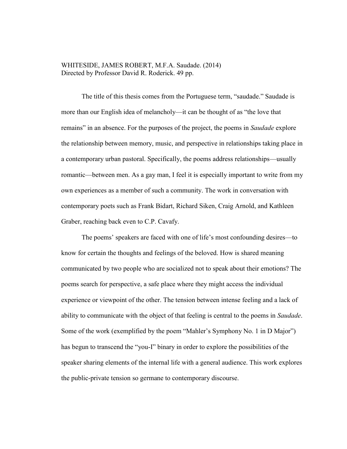### WHITESIDE, JAMES ROBERT, M.F.A. Saudade. (2014) Directed by Professor David R. Roderick. 49 pp.

The title of this thesis comes from the Portuguese term, "saudade." Saudade is more than our English idea of melancholy—it can be thought of as "the love that remains" in an absence. For the purposes of the project, the poems in *Saudade* explore the relationship between memory, music, and perspective in relationships taking place in a contemporary urban pastoral. Specifically, the poems address relationships—usually romantic—between men. As a gay man, I feel it is especially important to write from my own experiences as a member of such a community. The work in conversation with contemporary poets such as Frank Bidart, Richard Siken, Craig Arnold, and Kathleen Graber, reaching back even to C.P. Cavafy.

The poems' speakers are faced with one of life's most confounding desires—to know for certain the thoughts and feelings of the beloved. How is shared meaning communicated by two people who are socialized not to speak about their emotions? The poems search for perspective, a safe place where they might access the individual experience or viewpoint of the other. The tension between intense feeling and a lack of ability to communicate with the object of that feeling is central to the poems in *Saudade*. Some of the work (exemplified by the poem "Mahler's Symphony No. 1 in D Major") has begun to transcend the "you-I" binary in order to explore the possibilities of the speaker sharing elements of the internal life with a general audience. This work explores the public-private tension so germane to contemporary discourse.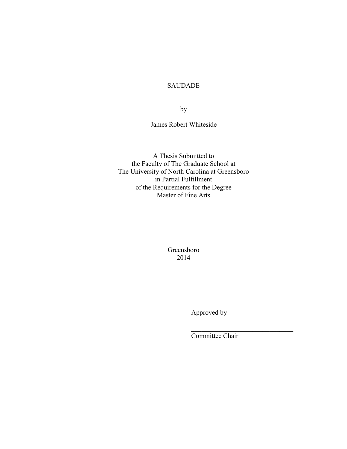## SAUDADE

by

James Robert Whiteside

A Thesis Submitted to the Faculty of The Graduate School at The University of North Carolina at Greensboro in Partial Fulfillment of the Requirements for the Degree Master of Fine Arts

> Greensboro 2014

> > Approved by

Committee Chair

 $\mathcal{L}_\text{max}$  , where  $\mathcal{L}_\text{max}$  and  $\mathcal{L}_\text{max}$  and  $\mathcal{L}_\text{max}$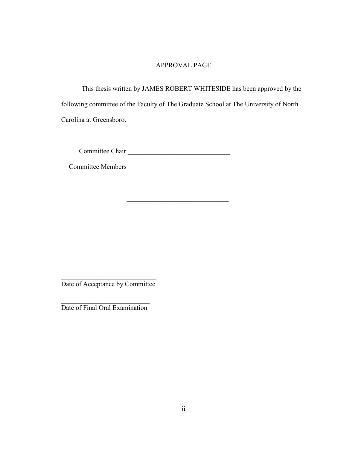## APPROVAL PAGE

This thesis written by JAMES ROBERT WHITESIDE has been approved by the following committee of the Faculty of The Graduate School at The University of North Carolina at Greensboro.

 $\mathcal{L}_\text{max}$  , where  $\mathcal{L}_\text{max}$  and  $\mathcal{L}_\text{max}$  and  $\mathcal{L}_\text{max}$ 

 $\mathcal{L}_\text{max}$  , which is a set of the set of the set of the set of the set of the set of the set of the set of the set of the set of the set of the set of the set of the set of the set of the set of the set of the set of

Committee Chair \_\_\_\_\_\_\_\_\_\_\_\_\_\_\_\_\_\_\_\_\_\_\_\_\_\_\_\_\_\_

Committee Members \_\_\_\_\_\_\_\_\_\_\_\_\_\_\_\_\_\_\_\_\_\_\_\_\_\_\_\_\_\_

 $\mathcal{L}_\text{max}$ Date of Acceptance by Committee

 $\mathcal{L}_\text{max}$  , where  $\mathcal{L}_\text{max}$  and  $\mathcal{L}_\text{max}$ Date of Final Oral Examination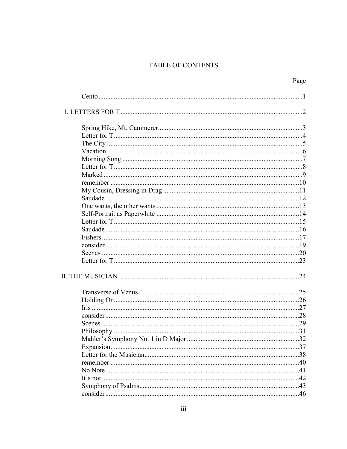## TABLE OF CONTENTS

| .37 |
|-----|
|     |
|     |
|     |
|     |
| 43  |
| 46  |
|     |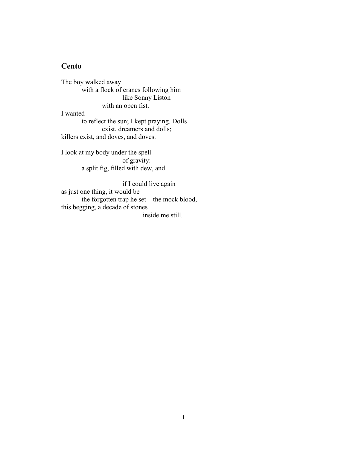## **Cento**

The boy walked away with a flock of cranes following him like Sonny Liston with an open fist. I wanted to reflect the sun; I kept praying. Dolls exist, dreamers and dolls;

killers exist, and doves, and doves.

I look at my body under the spell of gravity: a split fig, filled with dew, and

if I could live again as just one thing, it would be the forgotten trap he set—the mock blood, this begging, a decade of stones inside me still.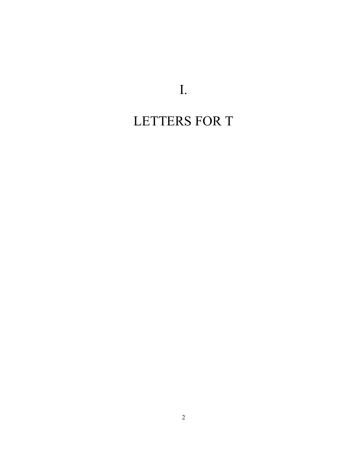I.

# LETTERS FOR T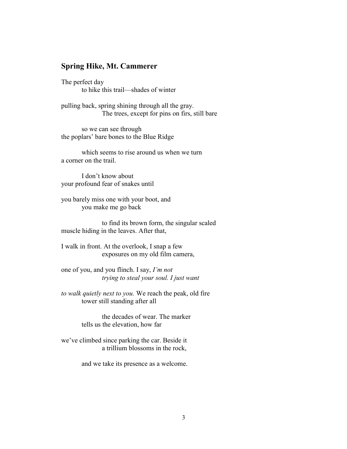## **Spring Hike, Mt. Cammerer**

The perfect day to hike this trail—shades of winter

pulling back, spring shining through all the gray. The trees, except for pins on firs, still bare

so we can see through the poplars' bare bones to the Blue Ridge

which seems to rise around us when we turn a corner on the trail.

I don't know about your profound fear of snakes until

you barely miss one with your boot, and you make me go back

to find its brown form, the singular scaled muscle hiding in the leaves. After that,

I walk in front. At the overlook, I snap a few exposures on my old film camera,

one of you, and you flinch. I say, *I'm not trying to steal your soul. I just want* 

*to walk quietly next to you.* We reach the peak, old fire tower still standing after all

> the decades of wear. The marker tells us the elevation, how far

we've climbed since parking the car. Beside it a trillium blossoms in the rock,

and we take its presence as a welcome.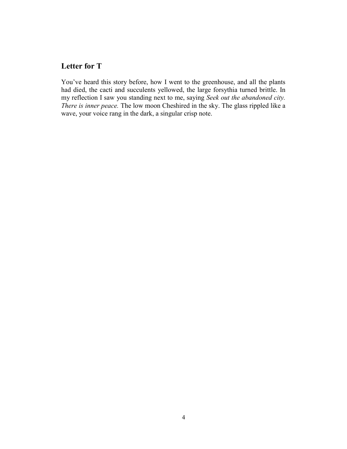# **Letter for T**

You've heard this story before, how I went to the greenhouse, and all the plants had died, the cacti and succulents yellowed, the large forsythia turned brittle. In my reflection I saw you standing next to me, saying *Seek out the abandoned city. There is inner peace.* The low moon Cheshired in the sky. The glass rippled like a wave, your voice rang in the dark, a singular crisp note.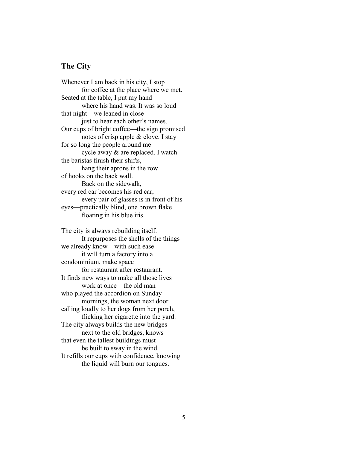# **The City**

Whenever I am back in his city, I stop for coffee at the place where we met. Seated at the table, I put my hand where his hand was. It was so loud that night—we leaned in close just to hear each other's names. Our cups of bright coffee—the sign promised notes of crisp apple & clove. I stay for so long the people around me cycle away & are replaced. I watch the baristas finish their shifts, hang their aprons in the row of hooks on the back wall. Back on the sidewalk, every red car becomes his red car, every pair of glasses is in front of his eyes—practically blind, one brown flake floating in his blue iris.

The city is always rebuilding itself. It repurposes the shells of the things we already know—with such ease it will turn a factory into a condominium, make space for restaurant after restaurant. It finds new ways to make all those lives work at once—the old man who played the accordion on Sunday mornings, the woman next door calling loudly to her dogs from her porch, flicking her cigarette into the yard. The city always builds the new bridges next to the old bridges, knows that even the tallest buildings must be built to sway in the wind. It refills our cups with confidence, knowing the liquid will burn our tongues.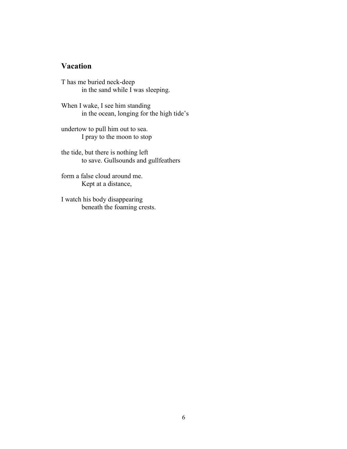## **Vacation**

T has me buried neck-deep in the sand while I was sleeping.

When I wake, I see him standing in the ocean, longing for the high tide's

undertow to pull him out to sea. I pray to the moon to stop

the tide, but there is nothing left to save. Gullsounds and gullfeathers

form a false cloud around me. Kept at a distance,

I watch his body disappearing beneath the foaming crests.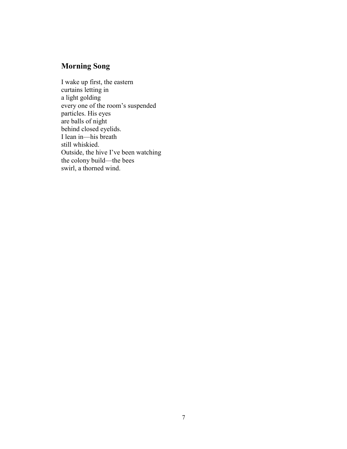# **Morning Song**

I wake up first, the eastern curtains letting in a light golding every one of the room's suspended particles. His eyes are balls of night behind closed eyelids. I lean in—his breath still whiskied. Outside, the hive I've been watching the colony build—the bees swirl, a thorned wind.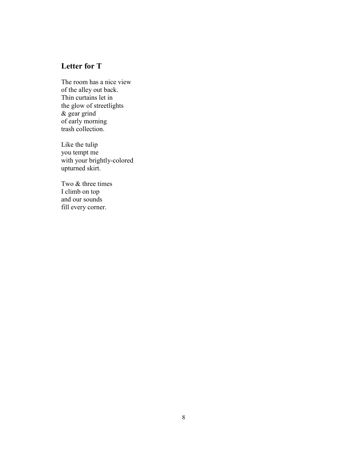# **Letter for T**

The room has a nice view of the alley out back. Thin curtains let in the glow of streetlights & gear grind of early morning trash collection.

Like the tulip you tempt me with your brightly-colored upturned skirt.

Two & three times I climb on top and our sounds fill every corner.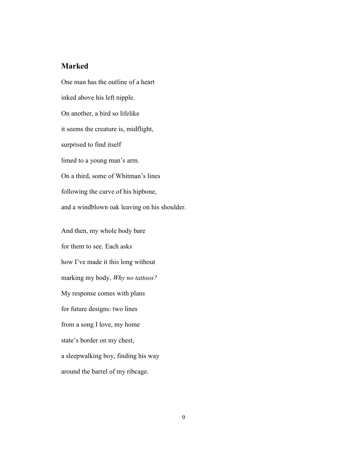## **Marked**

One man has the outline of a heart inked above his left nipple. On another, a bird so lifelike it seems the creature is, midflight, surprised to find itself limed to a young man's arm. On a third, some of Whitman's lines following the curve of his hipbone, and a windblown oak leaving on his shoulder.

And then, my whole body bare for them to see. Each asks how I've made it this long without marking my body, *Why no tattoos?* My response comes with plans for future designs: two lines from a song I love, my home state's border on my chest, a sleepwalking boy, finding his way around the barrel of my ribcage.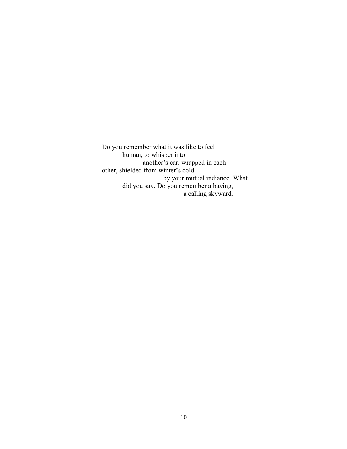Do you remember what it was like to feel human, to whisper into another's ear, wrapped in each other, shielded from winter's cold by your mutual radiance. What did you say. Do you remember a baying, a calling skyward.

**\_\_\_\_**

**\_\_\_\_**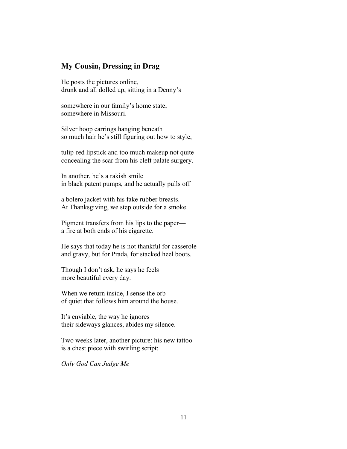## **My Cousin, Dressing in Drag**

He posts the pictures online, drunk and all dolled up, sitting in a Denny's

somewhere in our family's home state, somewhere in Missouri.

Silver hoop earrings hanging beneath so much hair he's still figuring out how to style,

tulip-red lipstick and too much makeup not quite concealing the scar from his cleft palate surgery.

In another, he's a rakish smile in black patent pumps, and he actually pulls off

a bolero jacket with his fake rubber breasts. At Thanksgiving, we step outside for a smoke.

Pigment transfers from his lips to the paper a fire at both ends of his cigarette.

He says that today he is not thankful for casserole and gravy, but for Prada, for stacked heel boots.

Though I don't ask, he says he feels more beautiful every day.

When we return inside, I sense the orb of quiet that follows him around the house.

It's enviable, the way he ignores their sideways glances, abides my silence.

Two weeks later, another picture: his new tattoo is a chest piece with swirling script:

*Only God Can Judge Me*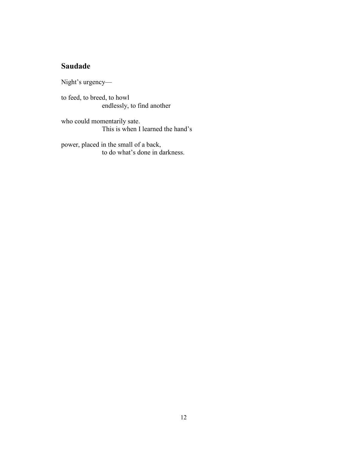# **Saudade**

Night's urgency—

to feed, to breed, to howl endlessly, to find another

who could momentarily sate. This is when I learned the hand's

power, placed in the small of a back, to do what's done in darkness.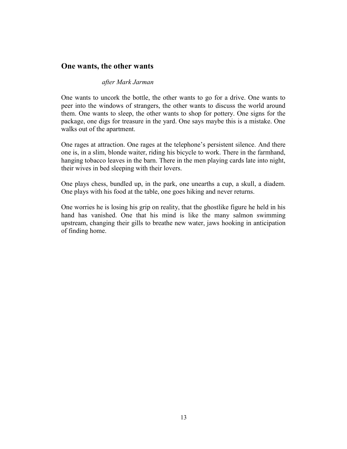## **One wants, the other wants**

### *after Mark Jarman*

One wants to uncork the bottle, the other wants to go for a drive. One wants to peer into the windows of strangers, the other wants to discuss the world around them. One wants to sleep, the other wants to shop for pottery. One signs for the package, one digs for treasure in the yard. One says maybe this is a mistake. One walks out of the apartment.

One rages at attraction. One rages at the telephone's persistent silence. And there one is, in a slim, blonde waiter, riding his bicycle to work. There in the farmhand, hanging tobacco leaves in the barn. There in the men playing cards late into night, their wives in bed sleeping with their lovers.

One plays chess, bundled up, in the park, one unearths a cup, a skull, a diadem. One plays with his food at the table, one goes hiking and never returns.

One worries he is losing his grip on reality, that the ghostlike figure he held in his hand has vanished. One that his mind is like the many salmon swimming upstream, changing their gills to breathe new water, jaws hooking in anticipation of finding home.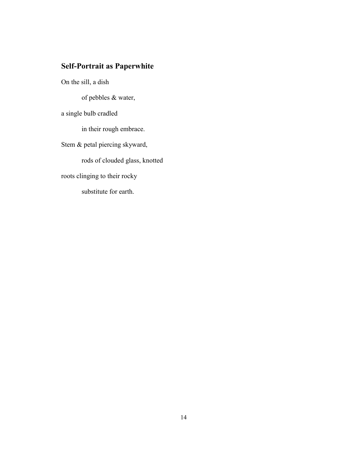# **Self-Portrait as Paperwhite**

On the sill, a dish of pebbles & water, a single bulb cradled in their rough embrace. Stem & petal piercing skyward, rods of clouded glass, knotted roots clinging to their rocky substitute for earth.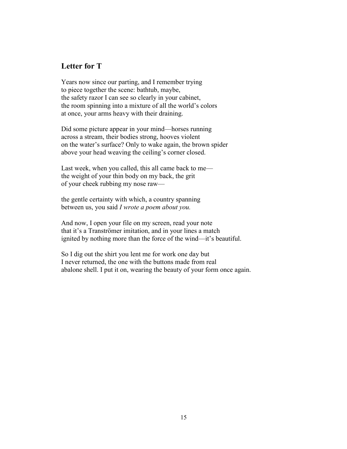## **Letter for T**

Years now since our parting, and I remember trying to piece together the scene: bathtub, maybe, the safety razor I can see so clearly in your cabinet, the room spinning into a mixture of all the world's colors at once, your arms heavy with their draining.

Did some picture appear in your mind—horses running across a stream, their bodies strong, hooves violent on the water's surface? Only to wake again, the brown spider above your head weaving the ceiling's corner closed.

Last week, when you called, this all came back to me the weight of your thin body on my back, the grit of your cheek rubbing my nose raw—

the gentle certainty with which, a country spanning between us, you said *I wrote a poem about you.*

And now, I open your file on my screen, read your note that it's a Tranströmer imitation, and in your lines a match ignited by nothing more than the force of the wind—it's beautiful.

So I dig out the shirt you lent me for work one day but I never returned, the one with the buttons made from real abalone shell. I put it on, wearing the beauty of your form once again.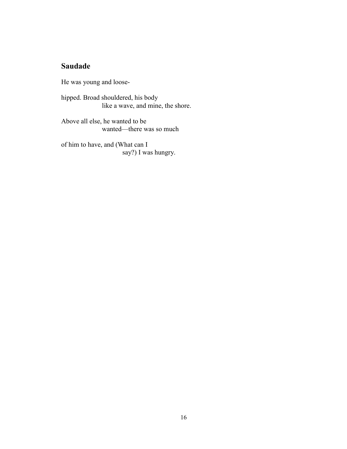# **Saudade**

He was young and loose-

hipped. Broad shouldered, his body like a wave, and mine, the shore.

Above all else, he wanted to be wanted—there was so much

of him to have, and (What can I say?) I was hungry.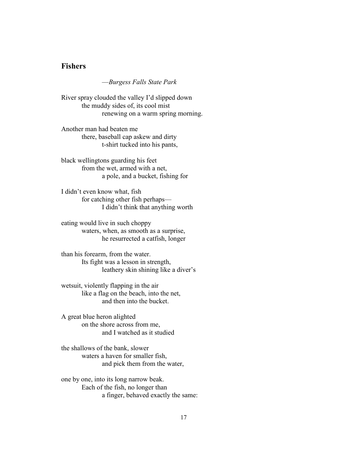## **Fishers**

—*Burgess Falls State Park*

River spray clouded the valley I'd slipped down the muddy sides of, its cool mist renewing on a warm spring morning.

Another man had beaten me there, baseball cap askew and dirty t-shirt tucked into his pants,

black wellingtons guarding his feet from the wet, armed with a net, a pole, and a bucket, fishing for

I didn't even know what, fish for catching other fish perhaps— I didn't think that anything worth

eating would live in such choppy waters, when, as smooth as a surprise, he resurrected a catfish, longer

than his forearm, from the water. Its fight was a lesson in strength, leathery skin shining like a diver's

wetsuit, violently flapping in the air like a flag on the beach, into the net, and then into the bucket.

A great blue heron alighted on the shore across from me, and I watched as it studied

the shallows of the bank, slower waters a haven for smaller fish, and pick them from the water,

one by one, into its long narrow beak. Each of the fish, no longer than a finger, behaved exactly the same: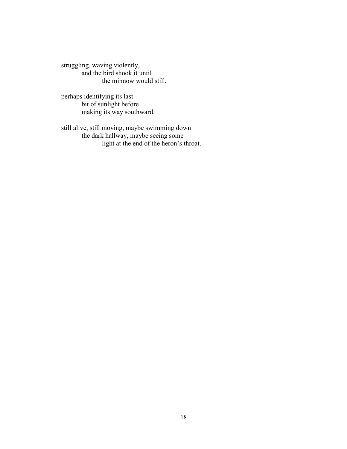struggling, waving violently, and the bird shook it until the minnow would still,

perhaps identifying its last bit of sunlight before making its way southward,

still alive, still moving, maybe swimming down the dark hallway, maybe seeing some light at the end of the heron's throat.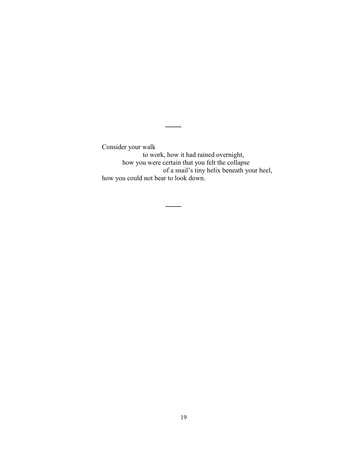Consider your walk to work, how it had rained overnight, how you were certain that you felt the collapse of a snail's tiny helix beneath your heel, how you could not bear to look down.

**\_\_\_\_**

**\_\_\_\_**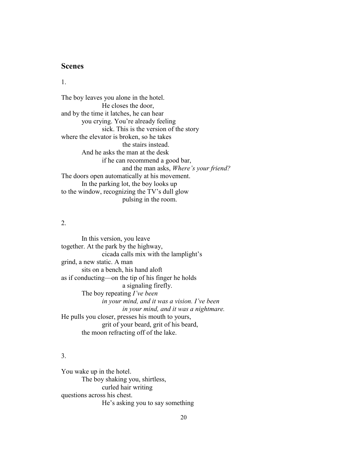## **Scenes**

1.

The boy leaves you alone in the hotel. He closes the door, and by the time it latches, he can hear you crying. You're already feeling sick. This is the version of the story where the elevator is broken, so he takes the stairs instead. And he asks the man at the desk if he can recommend a good bar, and the man asks, *Where's your friend?* The doors open automatically at his movement. In the parking lot, the boy looks up to the window, recognizing the TV's dull glow pulsing in the room.

### 2.

In this version, you leave together. At the park by the highway, cicada calls mix with the lamplight's grind, a new static. A man sits on a bench, his hand aloft as if conducting—on the tip of his finger he holds a signaling firefly. The boy repeating *I've been in your mind, and it was a vision. I've been in your mind, and it was a nightmare.* He pulls you closer, presses his mouth to yours, grit of your beard, grit of his beard, the moon refracting off of the lake.

## 3.

You wake up in the hotel. The boy shaking you, shirtless, curled hair writing questions across his chest. He's asking you to say something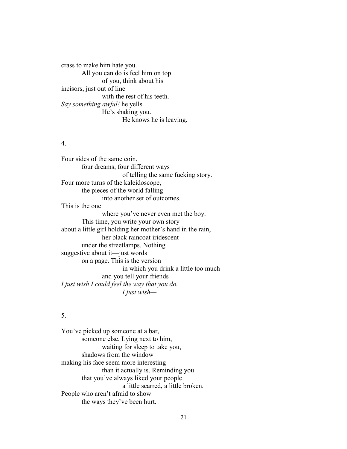crass to make him hate you. All you can do is feel him on top of you, think about his incisors, just out of line with the rest of his teeth. *Say something awful!* he yells. He's shaking you. He knows he is leaving.

### 4.

Four sides of the same coin, four dreams, four different ways of telling the same fucking story. Four more turns of the kaleidoscope, the pieces of the world falling into another set of outcomes. This is the one where you've never even met the boy. This time, you write your own story about a little girl holding her mother's hand in the rain, her black raincoat iridescent under the streetlamps. Nothing suggestive about it—just words on a page. This is the version in which you drink a little too much and you tell your friends *I just wish I could feel the way that you do. I just wish—*

### 5.

You've picked up someone at a bar, someone else. Lying next to him, waiting for sleep to take you, shadows from the window making his face seem more interesting than it actually is. Reminding you that you've always liked your people a little scarred, a little broken. People who aren't afraid to show the ways they've been hurt.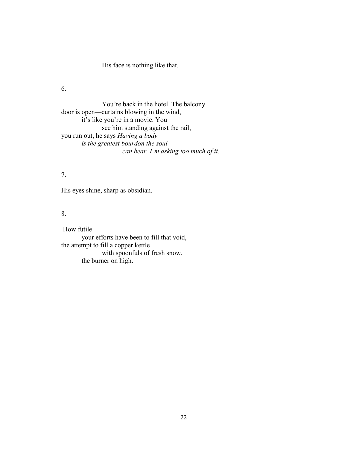His face is nothing like that.

6.

You're back in the hotel. The balcony door is open—curtains blowing in the wind, it's like you're in a movie. You see him standing against the rail, you run out, he says *Having a body is the greatest bourdon the soul can bear. I'm asking too much of it.*

### 7.

His eyes shine, sharp as obsidian.

## 8.

How futile your efforts have been to fill that void, the attempt to fill a copper kettle with spoonfuls of fresh snow, the burner on high.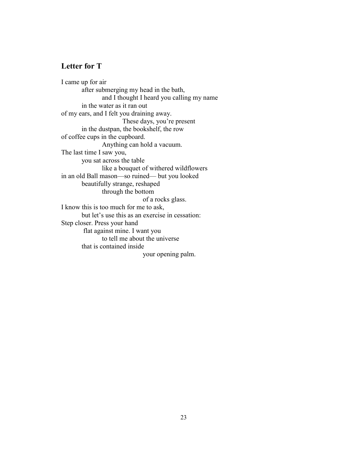# **Letter for T**

I came up for air after submerging my head in the bath, and I thought I heard you calling my name in the water as it ran out of my ears, and I felt you draining away. These days, you're present in the dustpan, the bookshelf, the row of coffee cups in the cupboard. Anything can hold a vacuum. The last time I saw you, you sat across the table like a bouquet of withered wildflowers in an old Ball mason—so ruined— but you looked beautifully strange, reshaped through the bottom of a rocks glass. I know this is too much for me to ask, but let's use this as an exercise in cessation: Step closer. Press your hand flat against mine. I want you to tell me about the universe that is contained inside your opening palm.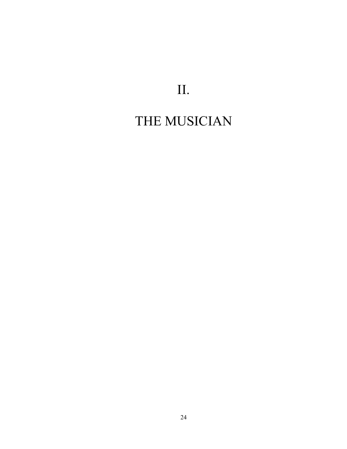# II.

# THE MUSICIAN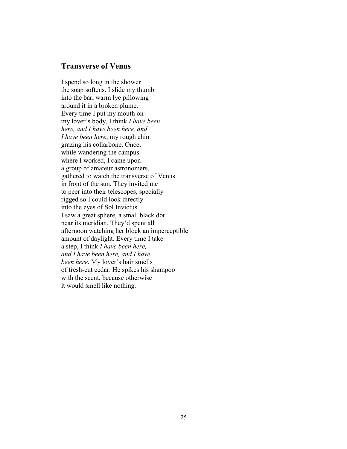## **Transverse of Venus**

I spend so long in the shower the soap softens. I slide my thumb into the bar, warm lye pillowing around it in a broken plume. Every time I put my mouth on my lover's body, I think *I have been here, and I have been here, and I have been here*, my rough chin grazing his collarbone. Once, while wandering the campus where I worked, I came upon a group of amateur astronomers, gathered to watch the transverse of Venus in front of the sun. They invited me to peer into their telescopes, specially rigged so I could look directly into the eyes of Sol Invictus. I saw a great sphere, a small black dot near its meridian. They'd spent all afternoon watching her block an imperceptible amount of daylight. Every time I take a step, I think *I have been here, and I have been here, and I have been here*. My lover's hair smells of fresh-cut cedar. He spikes his shampoo with the scent, because otherwise it would smell like nothing.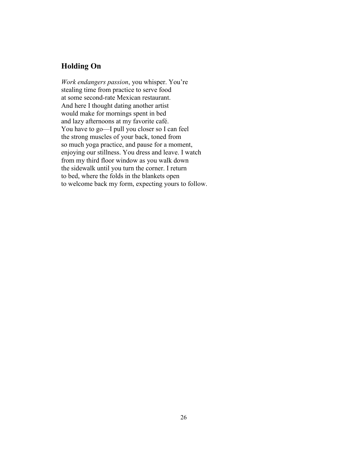# **Holding On**

*Work endangers passion*, you whisper. You're stealing time from practice to serve food at some second-rate Mexican restaurant. And here I thought dating another artist would make for mornings spent in bed and lazy afternoons at my favorite café. You have to go—I pull you closer so I can feel the strong muscles of your back, toned from so much yoga practice, and pause for a moment, enjoying our stillness. You dress and leave. I watch from my third floor window as you walk down the sidewalk until you turn the corner. I return to bed, where the folds in the blankets open to welcome back my form, expecting yours to follow.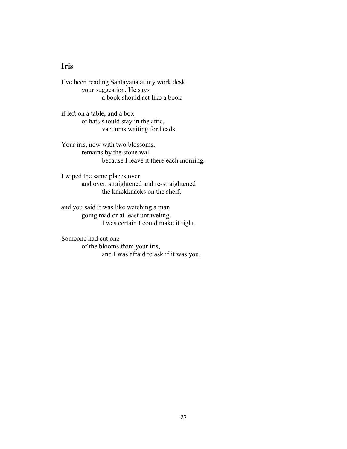# **Iris**

I've been reading Santayana at my work desk, your suggestion. He says a book should act like a book

if left on a table, and a box of hats should stay in the attic, vacuums waiting for heads.

Your iris, now with two blossoms, remains by the stone wall because I leave it there each morning.

I wiped the same places over and over, straightened and re-straightened the knickknacks on the shelf,

and you said it was like watching a man going mad or at least unraveling. I was certain I could make it right.

Someone had cut one of the blooms from your iris, and I was afraid to ask if it was you.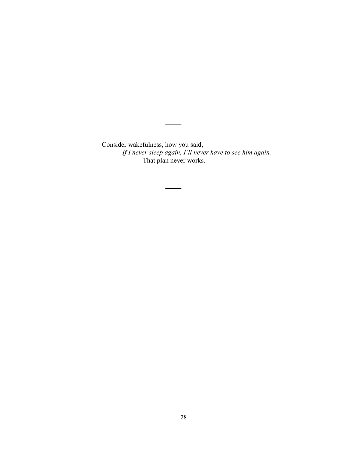Consider wakefulness, how you said, *If I never sleep again, I'll never have to see him again.* That plan never works.

**\_\_\_\_**

**\_\_\_\_**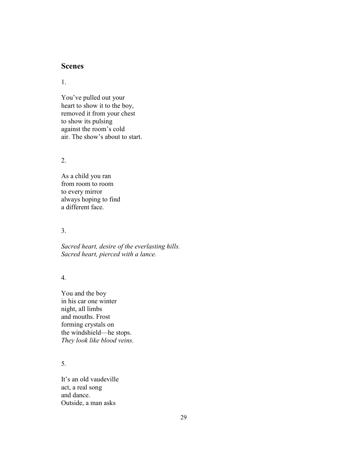## **Scenes**

1.

You've pulled out your heart to show it to the boy, removed it from your chest to show its pulsing against the room's cold air. The show's about to start.

2.

As a child you ran from room to room to every mirror always hoping to find a different face.

3.

*Sacred heart, desire of the everlasting hills. Sacred heart, pierced with a lance.*

4.

You and the boy in his car one winter night, all limbs and mouths. Frost forming crystals on the windshield—he stops. *They look like blood veins.*

5.

It's an old vaudeville act, a real song and dance. Outside, a man asks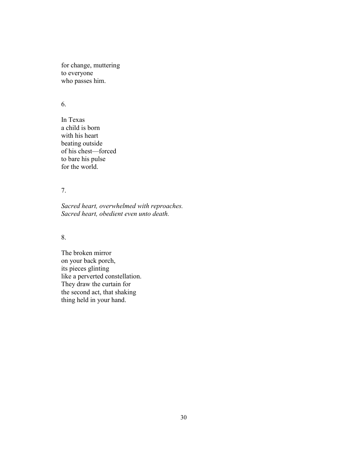for change, muttering to everyone who passes him.

## 6.

In Texas a child is born with his heart beating outside of his chest—forced to bare his pulse for the world.

## 7.

*Sacred heart, overwhelmed with reproaches. Sacred heart, obedient even unto death.*

### 8.

The broken mirror on your back porch, its pieces glinting like a perverted constellation. They draw the curtain for the second act, that shaking thing held in your hand.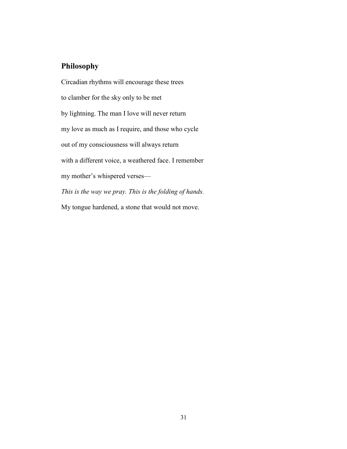## **Philosophy**

Circadian rhythms will encourage these trees to clamber for the sky only to be met by lightning. The man I love will never return my love as much as I require, and those who cycle out of my consciousness will always return with a different voice, a weathered face. I remember my mother's whispered verses— *This is the way we pray. This is the folding of hands.*  My tongue hardened, a stone that would not move.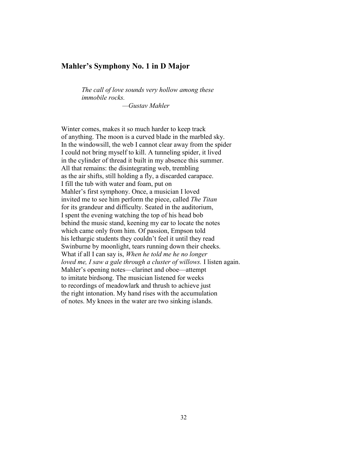## **Mahler's Symphony No. 1 in D Major**

*The call of love sounds very hollow among these immobile rocks. —Gustav Mahler*

Winter comes, makes it so much harder to keep track of anything. The moon is a curved blade in the marbled sky. In the windowsill, the web I cannot clear away from the spider I could not bring myself to kill. A tunneling spider, it lived in the cylinder of thread it built in my absence this summer. All that remains: the disintegrating web, trembling as the air shifts, still holding a fly, a discarded carapace. I fill the tub with water and foam, put on Mahler's first symphony. Once, a musician I loved invited me to see him perform the piece, called *The Titan* for its grandeur and difficulty. Seated in the auditorium, I spent the evening watching the top of his head bob behind the music stand, keening my ear to locate the notes which came only from him. Of passion, Empson told his lethargic students they couldn't feel it until they read Swinburne by moonlight, tears running down their cheeks. What if all I can say is, *When he told me he no longer loved me, I saw a gale through a cluster of willows.* I listen again. Mahler's opening notes—clarinet and oboe—attempt to imitate birdsong. The musician listened for weeks to recordings of meadowlark and thrush to achieve just the right intonation. My hand rises with the accumulation of notes. My knees in the water are two sinking islands.

32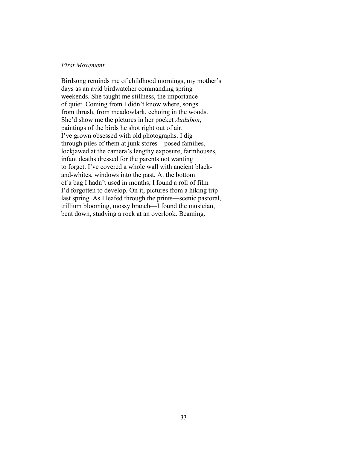### *First Movement*

Birdsong reminds me of childhood mornings, my mother's days as an avid birdwatcher commanding spring weekends. She taught me stillness, the importance of quiet. Coming from I didn't know where, songs from thrush, from meadowlark, echoing in the woods. She'd show me the pictures in her pocket *Audubon*, paintings of the birds he shot right out of air. I've grown obsessed with old photographs. I dig through piles of them at junk stores—posed families, lockjawed at the camera's lengthy exposure, farmhouses, infant deaths dressed for the parents not wanting to forget. I've covered a whole wall with ancient blackand-whites, windows into the past. At the bottom of a bag I hadn't used in months, I found a roll of film I'd forgotten to develop. On it, pictures from a hiking trip last spring. As I leafed through the prints—scenic pastoral, trillium blooming, mossy branch—I found the musician, bent down, studying a rock at an overlook. Beaming.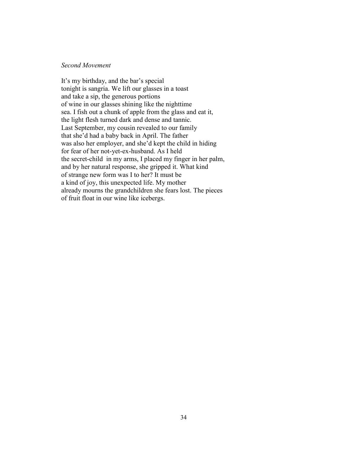### *Second Movement*

It's my birthday, and the bar's special tonight is sangria. We lift our glasses in a toast and take a sip, the generous portions of wine in our glasses shining like the nighttime sea. I fish out a chunk of apple from the glass and eat it, the light flesh turned dark and dense and tannic. Last September, my cousin revealed to our family that she'd had a baby back in April. The father was also her employer, and she'd kept the child in hiding for fear of her not-yet-ex-husband. As I held the secret-child in my arms, I placed my finger in her palm, and by her natural response, she gripped it. What kind of strange new form was I to her? It must be a kind of joy, this unexpected life. My mother already mourns the grandchildren she fears lost. The pieces of fruit float in our wine like icebergs.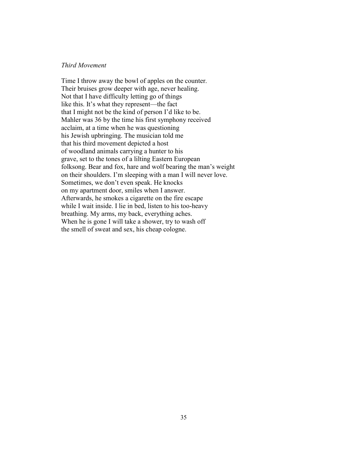### *Third Movement*

Time I throw away the bowl of apples on the counter. Their bruises grow deeper with age, never healing. Not that I have difficulty letting go of things like this. It's what they represent—the fact that I might not be the kind of person I'd like to be. Mahler was 36 by the time his first symphony received acclaim, at a time when he was questioning his Jewish upbringing. The musician told me that his third movement depicted a host of woodland animals carrying a hunter to his grave, set to the tones of a lilting Eastern European folksong. Bear and fox, hare and wolf bearing the man's weight on their shoulders. I'm sleeping with a man I will never love. Sometimes, we don't even speak. He knocks on my apartment door, smiles when I answer. Afterwards, he smokes a cigarette on the fire escape while I wait inside. I lie in bed, listen to his too-heavy breathing. My arms, my back, everything aches. When he is gone I will take a shower, try to wash off the smell of sweat and sex, his cheap cologne.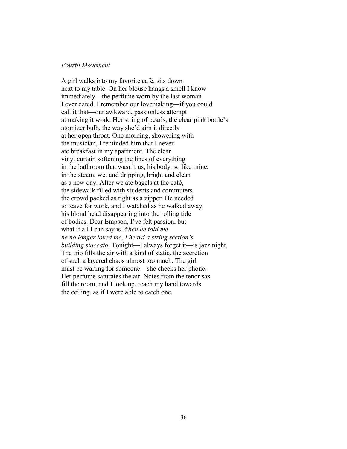### *Fourth Movement*

A girl walks into my favorite café, sits down next to my table. On her blouse hangs a smell I know immediately—the perfume worn by the last woman I ever dated. I remember our lovemaking—if you could call it that—our awkward, passionless attempt at making it work. Her string of pearls, the clear pink bottle's atomizer bulb, the way she'd aim it directly at her open throat. One morning, showering with the musician, I reminded him that I never ate breakfast in my apartment. The clear vinyl curtain softening the lines of everything in the bathroom that wasn't us, his body, so like mine, in the steam, wet and dripping, bright and clean as a new day. After we ate bagels at the café, the sidewalk filled with students and commuters, the crowd packed as tight as a zipper. He needed to leave for work, and I watched as he walked away, his blond head disappearing into the rolling tide of bodies. Dear Empson, I've felt passion, but what if all I can say is *When he told me he no longer loved me, I heard a string section's building staccato*. Tonight—I always forget it—is jazz night. The trio fills the air with a kind of static, the accretion of such a layered chaos almost too much. The girl must be waiting for someone—she checks her phone. Her perfume saturates the air. Notes from the tenor sax fill the room, and I look up, reach my hand towards the ceiling, as if I were able to catch one.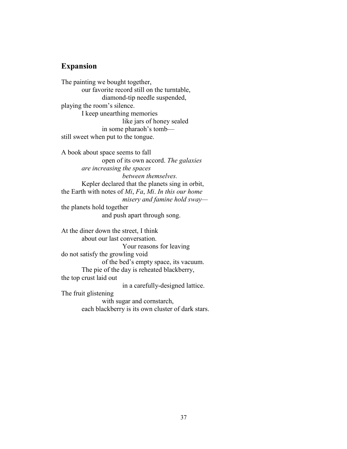# **Expansion**

The painting we bought together, our favorite record still on the turntable, diamond-tip needle suspended, playing the room's silence. I keep unearthing memories like jars of honey sealed in some pharaoh's tomb still sweet when put to the tongue.

A book about space seems to fall open of its own accord. *The galaxies are increasing the spaces between themselves.* Kepler declared that the planets sing in orbit, the Earth with notes of *Mi*, *Fa*, *Mi*. *In this our home misery and famine hold sway* the planets hold together

and push apart through song.

At the diner down the street, I think about our last conversation. Your reasons for leaving do not satisfy the growling void of the bed's empty space, its vacuum. The pie of the day is reheated blackberry, the top crust laid out in a carefully-designed lattice. The fruit glistening

> with sugar and cornstarch, each blackberry is its own cluster of dark stars.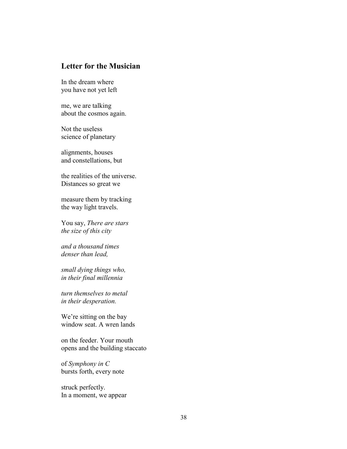# **Letter for the Musician**

In the dream where you have not yet left

me, we are talking about the cosmos again.

Not the useless science of planetary

alignments, houses and constellations, but

the realities of the universe. Distances so great we

measure them by tracking the way light travels.

You say, *There are stars the size of this city*

*and a thousand times denser than lead,*

*small dying things who, in their final millennia* 

*turn themselves to metal in their desperation.*

We're sitting on the bay window seat. A wren lands

on the feeder. Your mouth opens and the building staccato

of *Symphony in C* bursts forth, every note

struck perfectly. In a moment, we appear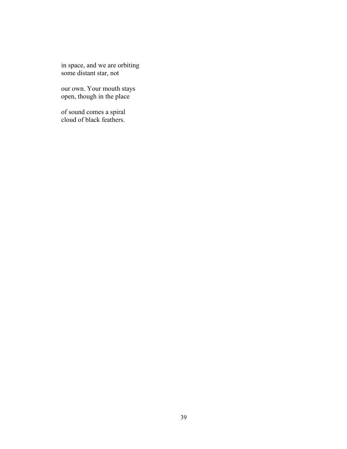in space, and we are orbiting some distant star, not

our own. Your mouth stays open, though in the place

of sound comes a spiral cloud of black feathers.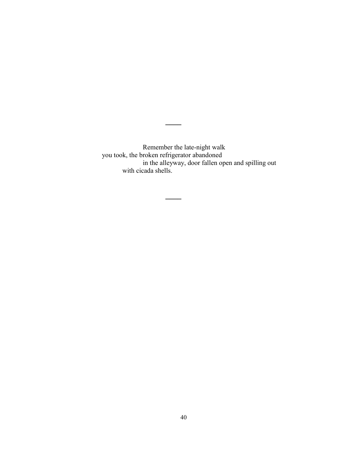Remember the late-night walk you took, the broken refrigerator abandoned in the alleyway, door fallen open and spilling out with cicada shells.

**\_\_\_\_**

**\_\_\_\_**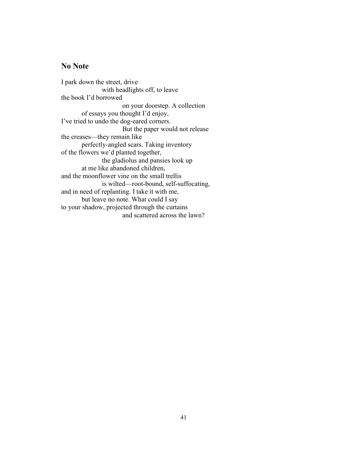## **No Note**

I park down the street, drive with headlights off, to leave the book I'd borrowed on your doorstep. A collection of essays you thought I'd enjoy, I've tried to undo the dog-eared corners. But the paper would not release the creases—they remain like perfectly-angled scars. Taking inventory of the flowers we'd planted together, the gladiolus and pansies look up at me like abandoned children, and the moonflower vine on the small trellis is wilted—root-bound, self-suffocating, and in need of replanting. I take it with me, but leave no note. What could I say to your shadow, projected through the curtains and scattered across the lawn?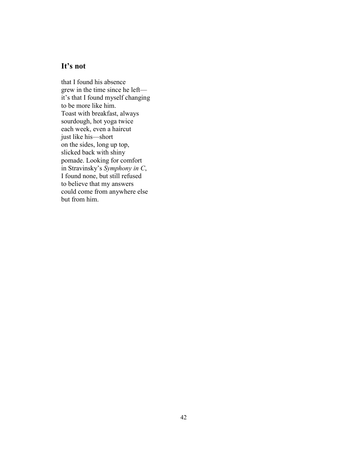## **It's not**

that I found his absence grew in the time since he left it's that I found myself changing to be more like him. Toast with breakfast, always sourdough, hot yoga twice each week, even a haircut just like his—short on the sides, long up top, slicked back with shiny pomade. Looking for comfort in Stravinsky's *Symphony in C*, I found none, but still refused to believe that my answers could come from anywhere else but from him.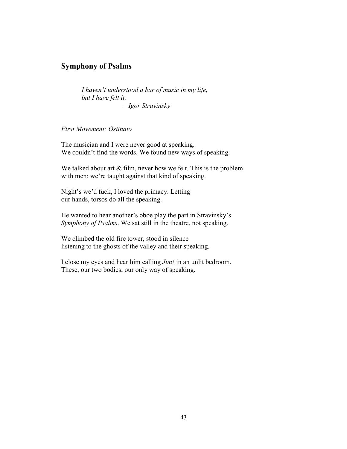# **Symphony of Psalms**

*I haven't understood a bar of music in my life, but I have felt it. —Igor Stravinsky*

*First Movement: Ostinato*

The musician and I were never good at speaking. We couldn't find the words. We found new ways of speaking.

We talked about art & film, never how we felt. This is the problem with men: we're taught against that kind of speaking.

Night's we'd fuck, I loved the primacy. Letting our hands, torsos do all the speaking.

He wanted to hear another's oboe play the part in Stravinsky's *Symphony of Psalms*. We sat still in the theatre, not speaking.

We climbed the old fire tower, stood in silence listening to the ghosts of the valley and their speaking.

I close my eyes and hear him calling *Jim!* in an unlit bedroom. These, our two bodies, our only way of speaking.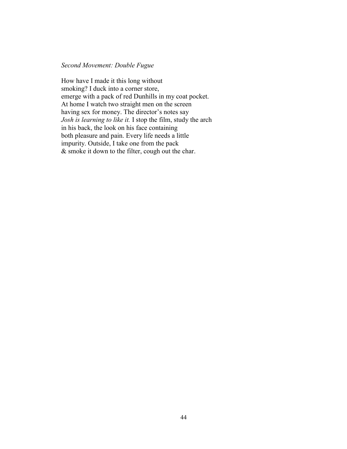### *Second Movement: Double Fugue*

How have I made it this long without smoking? I duck into a corner store, emerge with a pack of red Dunhills in my coat pocket. At home I watch two straight men on the screen having sex for money. The director's notes say *Josh is learning to like it.* I stop the film, study the arch in his back, the look on his face containing both pleasure and pain. Every life needs a little impurity. Outside, I take one from the pack & smoke it down to the filter, cough out the char.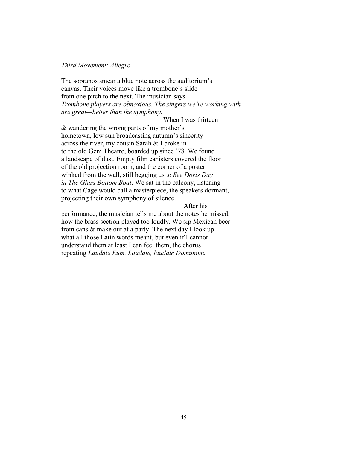### *Third Movement: Allegro*

The sopranos smear a blue note across the auditorium's canvas. Their voices move like a trombone's slide from one pitch to the next. The musician says *Trombone players are obnoxious. The singers we're working with are great—better than the symphony.*

When I was thirteen

& wandering the wrong parts of my mother's hometown, low sun broadcasting autumn's sincerity across the river, my cousin Sarah & I broke in to the old Gem Theatre, boarded up since '78. We found a landscape of dust. Empty film canisters covered the floor of the old projection room, and the corner of a poster winked from the wall, still begging us to *See Doris Day in The Glass Bottom Boat*. We sat in the balcony, listening to what Cage would call a masterpiece, the speakers dormant, projecting their own symphony of silence.

### After his

performance, the musician tells me about the notes he missed, how the brass section played too loudly. We sip Mexican beer from cans & make out at a party. The next day I look up what all those Latin words meant, but even if I cannot understand them at least I can feel them, the chorus repeating *Laudate Eum. Laudate, laudate Domunum.*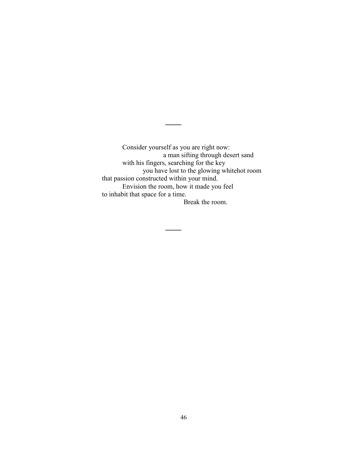Consider yourself as you are right now: a man sifting through desert sand with his fingers, searching for the key you have lost to the glowing whitehot room that passion constructed within your mind. Envision the room, how it made you feel to inhabit that space for a time. Break the room.

**\_\_\_\_**

**\_\_\_\_**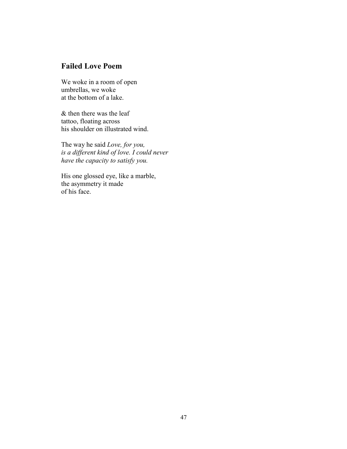# **Failed Love Poem**

We woke in a room of open umbrellas, we woke at the bottom of a lake.

& then there was the leaf tattoo, floating across his shoulder on illustrated wind.

The way he said *Love, for you, is a different kind of love. I could never have the capacity to satisfy you.*

His one glossed eye, like a marble, the asymmetry it made of his face.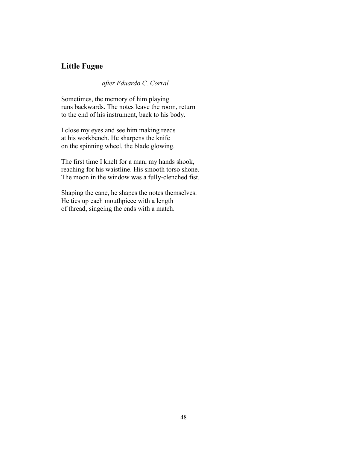## **Little Fugue**

*after Eduardo C. Corral*

Sometimes, the memory of him playing runs backwards. The notes leave the room, return to the end of his instrument, back to his body.

I close my eyes and see him making reeds at his workbench. He sharpens the knife on the spinning wheel, the blade glowing.

The first time I knelt for a man, my hands shook, reaching for his waistline. His smooth torso shone. The moon in the window was a fully-clenched fist.

Shaping the cane, he shapes the notes themselves. He ties up each mouthpiece with a length of thread, singeing the ends with a match.